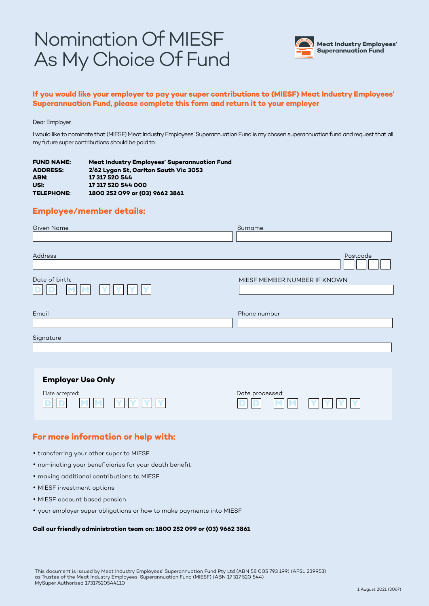# Nomination Of MIESF As My Choice Of Fund



### **If you would like your employer to pay your super contributions to (MIESF) Meat Industry Employees' Superannuation Fund, please complete this form and return it to your employer**

#### Dear Employer,

I would like to nominate that (MIESF) Meat Industry Employees' Superannuation Fund is my chosen superannuation fund and request that all my future super contributions should be paid to:

| <b>FUND NAME:</b> | <b>Meat Industry Employees' Superannuation Fund</b> |
|-------------------|-----------------------------------------------------|
| <b>ADDRESS:</b>   | 2/62 Lygon St. Carlton South Vic 3053               |
| ABN:              | 17 317 520 544                                      |
| USI:              | 17 317 520 544 000                                  |
| <b>TELEPHONE:</b> | 1800 252 099 or (03) 9662 3861                      |

### **Employee/member details:**

| <b>Given Name</b>         | Surname                                  |
|---------------------------|------------------------------------------|
|                           |                                          |
| Address<br>Date of birth: | Postcode<br>MIESF MEMBER NUMBER IF KNOWN |
| Email                     | Phone number                             |
| Signature                 |                                          |
|                           |                                          |
|                           |                                          |
| <b>Employer Use Only</b>  |                                          |
| Date accepted:            | Date processed:                          |

**D D** **M M**

**Y Y Y** **Y**

# **For more information or help with:**

• transferring your other super to MIESF

**M M**

• nominating your beneficiaries for your death benefit

**Y Y**

**Y**

**Y**

- making additional contributions to MIESF
- MIESF investment options

**D D**

- MIESF account based pension
- your employer super obligations or how to make payments into MIESF

#### **Call our friendly administration team on: 1800 252 099 or (03) 9662 3861**